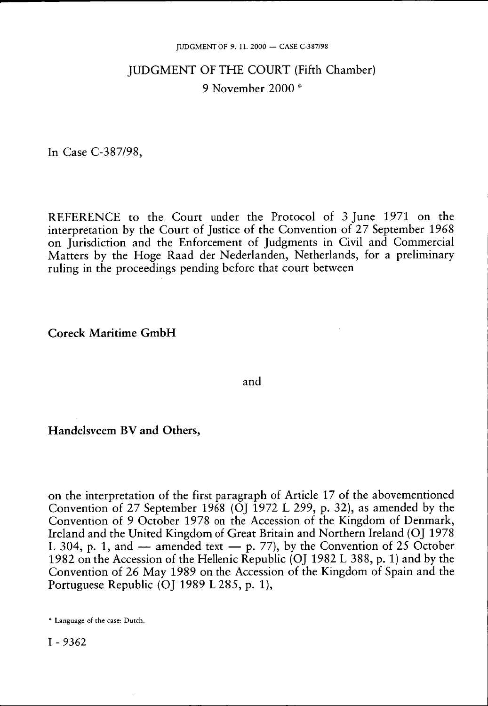# JUDGMENT OF THE COURT (Fifth Chamber) 9 November 2000 \*

In Case C-387/98,

REFERENCE to the Court under the Protocol of 3 June 1971 on the interpretation by the Court of Justice of the Convention of 27 September 1968 on Jurisdiction and the Enforcement of Judgments in Civil and Commercial Matters by the Hoge Raad der Nederlanden, Netherlands, for a preliminary ruling in the proceedings pending before that court between

**Coreck Maritime GmbH** 

and

**Handelsveem BV and Others,** 

on the interpretation of the first paragraph of Article 17 of the abovementioned Convention of 27 September 1968 (OJ 1972 L 299, p. 32), as amended by the Convention of 9 October 1978 on the Accession of the Kingdom of Denmark, Ireland and the United Kingdom of Great Britain and Northern Ireland (OJ 1978 L 304, p. 1, and  $-$  amended text  $-$  p. 77), by the Convention of 25 October 1982 on the Accession of the Hellenic Republic (OJ 1982 L 388, p. 1) and by the Convention of 26 May 1989 on the Accession of the Kingdom of Spain and the Portuguese Republic (OJ 1989 L 285, p. 1),

\* Language of the case: Dutch.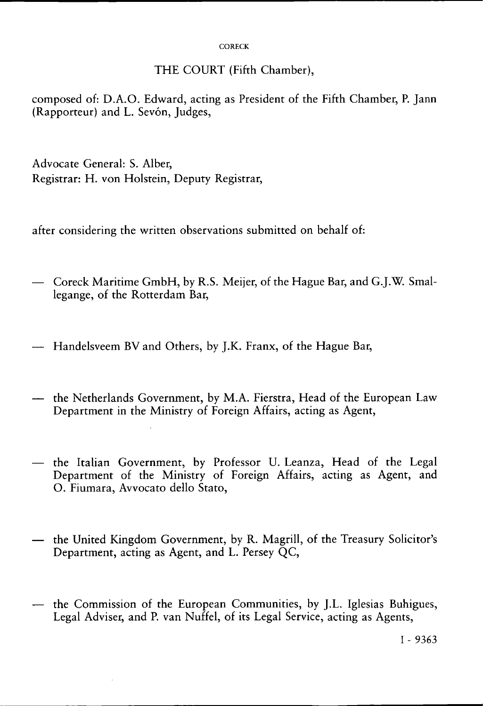#### **CORECK**

### THE COURT (Fifth Chamber),

composed of: D.A.O. Edward, acting as President of the Fifth Chamber, P. Jann (Rapporteur) and L. Sevón, Judges,

Advocate General: S. Alber, Registrar: H. von Holstein, Deputy Registrar,

after considering the written observations submitted on behalf of:

- Coreck Maritime GmbH, by R.S. Meijer, of the Hague Bar, and G.J.W. Smallegange, of the Rotterdam Bar,
- Handelsveem BV and Others, by J.K. Franx, of the Hague Bar,
- the Netherlands Government, by M.A. Fierstra, Head of the European Law Department in the Ministry of Foreign Affairs, acting as Agent,
- the Italian Government, by Professor U. Leanza, Head of the Legal Department of the Ministry of Foreign Affairs, acting as Agent, and O. Fiumara, Avvocato dello Stato,
- the United Kingdom Government, by R. Magrill, of the Treasury Solicitor's Department, acting as Agent, and L. Persey QC,
- the Commission of the European Communities, by J.L. Iglesias Buhigues, Legal Adviser, and P. van Nuffel, of its Legal Service, acting as Agents,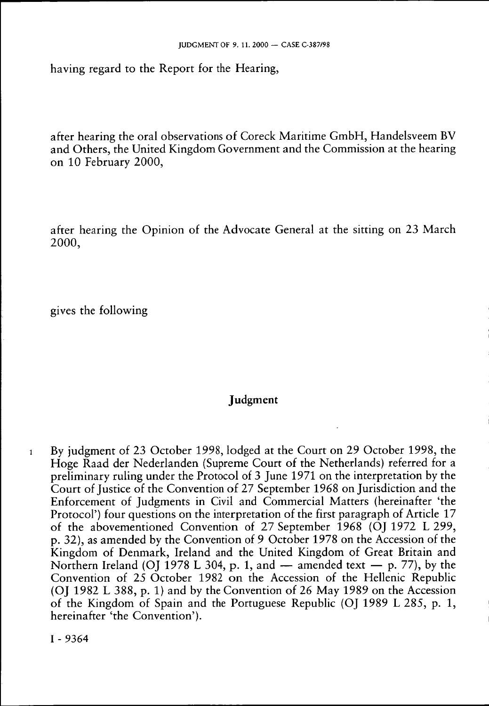having regard to the Report for the Hearing,

after hearing the oral observations of Coreck Maritime GmbH, Handelsveem BV and Others, the United Kingdom Government and the Commission at the hearing on 10 February 2000,

after hearing the Opinion of the Advocate General at the sitting on 23 March 2000,

gives the following

## **Judgment**

1 By judgment of 23 October 1998, lodged at the Court on 29 October 1998, the Hoge Raad der Nederlanden (Supreme Court of the Netherlands) referred for a preliminary ruling under the Protocol of 3 June 1971 on the interpretation by the Court of Justice of the Convention of 27 September 1968 on Jurisdiction and the Enforcement of Judgments in Civil and Commercial Matters (hereinafter 'the Protocol') four questions on the interpretation of the first paragraph of Article 17 of the abovementioned Convention of 27 September 1968 (OJ 1972 L 299, p. 32), as amended by the Convention of 9 October 1978 on the Accession of the Kingdom of Denmark, Ireland and the United Kingdom of Great Britain and Northern Ireland (OJ 1978 L 304, p. 1, and  $-$  amended text  $-$  p. 77), by the Convention of 25 October 1982 on the Accession of the Hellenic Republic (OI 1982 L 388, p. 1) and by the Convention of 26 May 1989 on the Accession of the Kingdom of Spain and the Portuguese Republic (OJ 1989 L 285, p. 1, hereinafter 'the Convention').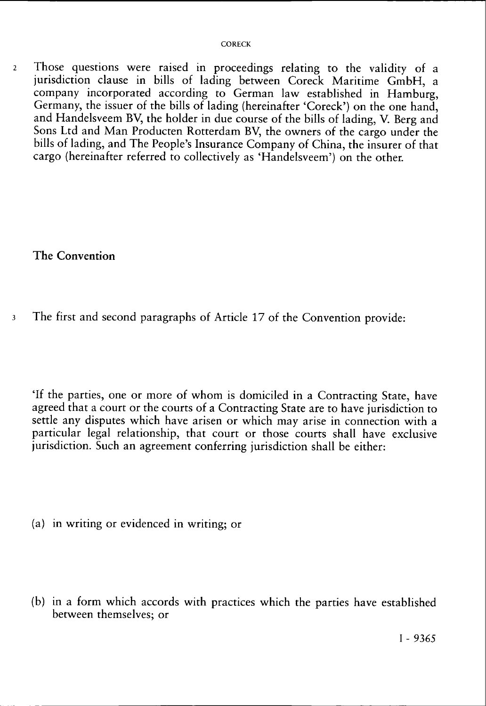2 Those questions were raised in proceedings relating to the validity of a jurisdiction clause in bills of lading between Coreck Maritime GmbH, a company incorporated according to German law established in Hamburg, Germany, the issuer of the bills of lading (hereinafter 'Coreck') on the one hand, and Handelsveem BV, the holder in due course of the bills of lading, V. Berg and Sons Ltd and Man Producten Rotterdam BV, the owners of the cargo under the bills of lading, and The People's Insurance Company of China, the insurer of that cargo (hereinafter referred to collectively as 'Handelsveem') on the other.

The Convention

3 The first and second paragraphs of Article 17 of the Convention provide:

'If the parties, one or more of whom is domiciled in a Contracting State, have agreed that a court or the courts of a Contracting State are to have jurisdiction to settle any disputes which have arisen or which may arise in connection with a particular legal relationship, that court or those courts shall have exclusive jurisdiction. Such an agreement conferring jurisdiction shall be either:

- (a) in writing or evidenced in writing; or
- (b) in a form which accords with practices which the parties have established between themselves; or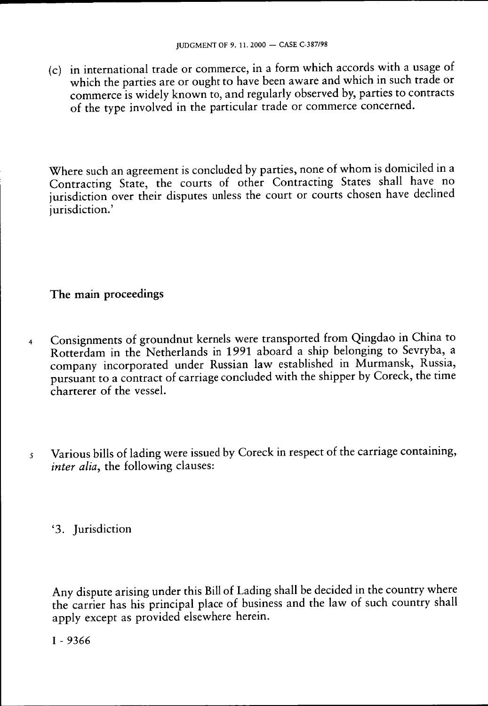(c) in international trade or commerce, in a form which accords with a usage of which the parties are or ought to have been aware and which in such trade or commerce is widely known to, and regularly observed by, parties to contracts of the type involved in the particular trade or commerce concerned.

Where such an agreement is concluded by parties, none of whom is domiciled in a Contracting State, the courts of other Contracting States shall have no jurisdiction over their disputes unless the court or courts chosen have declined jurisdiction.'

## The main proceedings

- 4 Consignments of groundnut kernels were transported from Qingdao in China to Rotterdam in the Netherlands in 1991 aboard a ship belonging to Sevryba, a company incorporated under Russian law established in Murmansk, Russia, pursuant to a contract of carriage concluded with the shipper by Coreck, the time charterer of the vessel.
- 5 Various bills of lading were issued by Coreck in respect of the carriage containing, *inter alia*, the following clauses:

'3. Jurisdiction

Any dispute arising under this Bill of Lading shall be decided in the country where the carrier has his principal place of business and the law of such country shall apply except as provided elsewhere herein.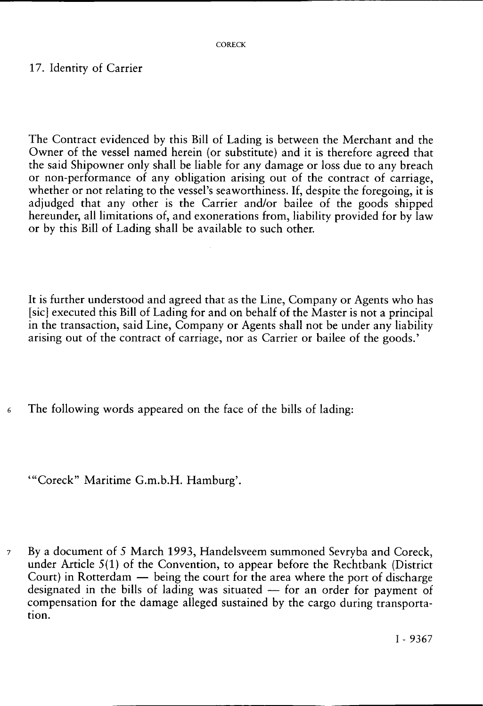## 17. Identity of Carrier

The Contract evidenced by this Bill of Lading is between the Merchant and the Owner of the vessel named herein (or substitute) and it is therefore agreed that the said Shipowner only shall be liable for any damage or loss due to any breach or non-performance of any obligation arising out of the contract of carriage, whether or not relating to the vessel's seaworthiness. If, despite the foregoing, it is adjudged that any other is the Carrier and/or bailee of the goods shipped hereunder, all limitations of, and exonerations from, liability provided for by law or by this Bill of Lading shall be available to such other.

It is further understood and agreed that as the Line, Company or Agents who has [sic] executed this Bill of Lading for and on behalf of the Master is not a principal in the transaction, said Line, Company or Agents shall not be under any liability arising out of the contract of carriage, nor as Carrier or bailee of the goods.'

6 The following words appeared on the face of the bills of lading:

'"Coreck" Maritime G.m.b.H. Hamburg'.

7 By a document of 5 March 1993, Handelsveem summoned Sevryba and Coreck, under Article 5(1) of the Convention, to appear before the Rechtbank (District Court) in Rotterdam — being the court for the area where the port of discharge designated in the bills of lading was situated — for an order for payment of compensation for the damage alleged sustained by the cargo during transportation.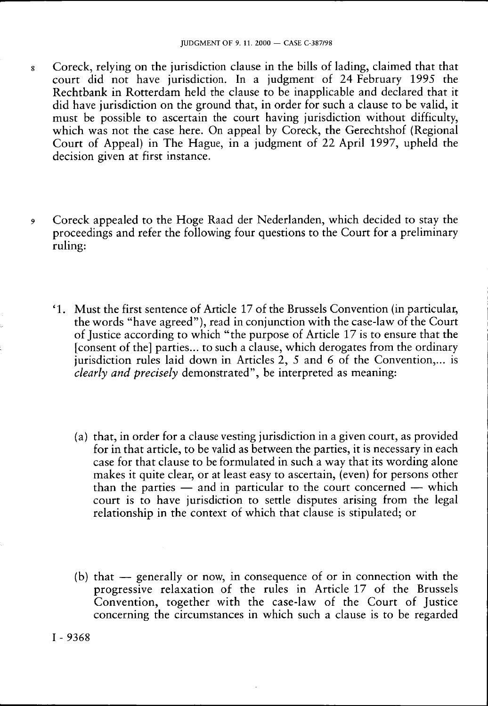- 8 Coreck, relying on the jurisdiction clause in the bills of lading, claimed that that court did not have jurisdiction. In a judgment of 24 February 1995 the Rechtbank in Rotterdam held the clause to be inapplicable and declared that it did have jurisdiction on the ground that, in order for such a clause to be valid, it must be possible to ascertain the court having jurisdiction without difficulty, which was not the case here. On appeal by Coreck, the Gerechtshof (Regional Court of Appeal) in The Hague, in a judgment of 22 April 1997, upheld the decision given at first instance.
- *9* Coreck appealed to the Hoge Raad der Nederlanden, which decided to stay the proceedings and refer the following four questions to the Court for a preliminary ruling:
	- ' 1 . Must the first sentence of Article 17 of the Brussels Convention (in particular, the words "have agreed"), read in conjunction with the case-law of the Court of Justice according to which "the purpose of Article 17 is to ensure that the [consent of the] parties... to such a clause, which derogates from the ordinary jurisdiction rules laid down in Articles 2, 5 and 6 of the Convention,... is *clearly and precisely* demonstrated", be interpreted as meaning:
		- (a) that, in order for a clause vesting jurisdiction in a given court, as provided for in that article, to be valid as between the parties, it is necessary in each case for that clause to be formulated in such a way that its wording alone makes it quite clear, or at least easy to ascertain, (even) for persons other than the parties — and in particular to the court concerned — which court is to have jurisdiction to settle disputes arising from the legal relationship in the context of which that clause is stipulated; or
		- (b) that generally or now, in consequence of or in connection with the progressive relaxation of the rules in Article 17 of the Brussels Convention, together with the case-law of the Court of Justice concerning the circumstances in which such a clause is to be regarded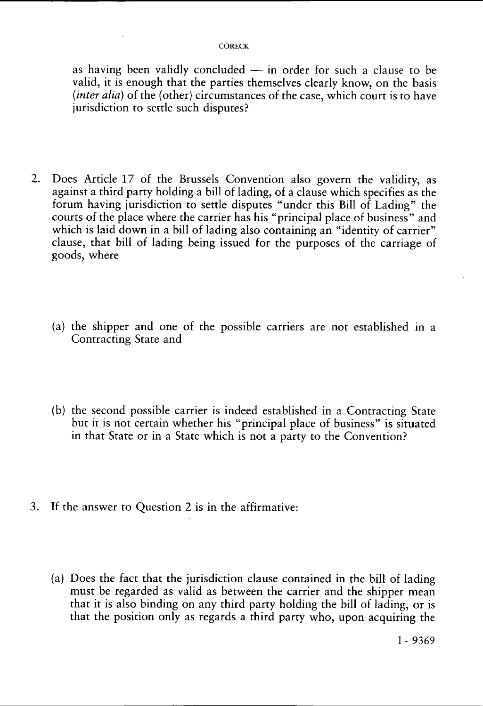#### **CORECK**

as having been validly concluded — in order for such a clause to be valid, it is enough that the parties themselves clearly know, on the basis *(inter alia)* of the (other) circumstances of the case, which court is to have jurisdiction to settle such disputes?

- 2. Does Article 17 of the Brussels Convention also govern the validity, as against a third party holding a bill of lading, of a clause which specifies as the forum having jurisdiction to settle disputes "under this Bill of Lading" the courts of the place where the carrier has his "principal place of business" and which is laid down in a bill of lading also containing an "identity of carrier" clause, that bill of lading being issued for the purposes of the carriage of goods, where
	- (a) the shipper and one of the possible carriers are not established in a Contracting State and
	- (b) the second possible carrier is indeed established in a Contracting State but it is not certain whether his "principal place of business" is situated in that State or in a State which is not a party to the Convention?
- 3. If the answer to Question 2 is in the affirmative:
	- (a) Does the fact that the jurisdiction clause contained in the bill of lading must be regarded as valid as between the carrier and the shipper mean that it is also binding on any third party holding the bill of lading, or is that the position only as regards a third party who, upon acquiring the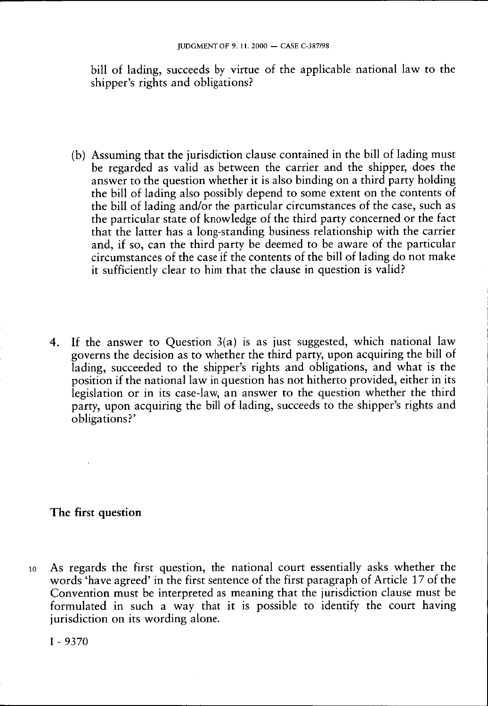bill of lading, succeeds by virtue of the applicable national law to the shipper's rights and obligations?

- (b) Assuming that the jurisdiction clause contained in the bill of lading must be regarded as valid as between the carrier and the shipper, does the answer to the question whether it is also binding on a third party holding the bill of lading also possibly depend to some extent on the contents of the bill of lading and/or the particular circumstances of the case, such as the particular state of knowledge of the third party concerned or the fact that the latter has a long-standing business relationship with the carrier and, if so, can the third party be deemed to be aware of the particular circumstances of the case if the contents of the bill of lading do not make it sufficiently clear to him that the clause in question is valid?
- 4. If the answer to Question 3(a) is as just suggested, which national law governs the decision as to whether the third party, upon acquiring the bill of lading, succeeded to the shipper's rights and obligations, and what is the position if the national law in question has not hitherto provided, either in its legislation or in its case-law, an answer to the question whether the third party, upon acquiring the bill of lading, succeeds to the shipper's rights and obligations?'

## The first question

10 As regards the first question, the national court essentially asks whether the words 'have agreed' in the first sentence of the first paragraph of Article 17 of the Convention must be interpreted as meaning that the jurisdiction clause must be formulated in such a way that it is possible to identify the court having jurisdiction on its wording alone.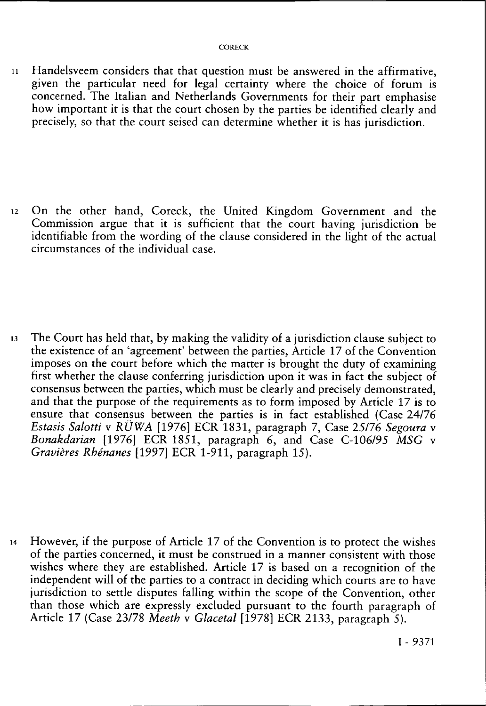1 1 Handelsveem considers that that question must be answered in the affirmative, given the particular need for legal certainty where the choice of forum is concerned. The Italian and Netherlands Governments for their part emphasise how important it is that the court chosen by the parties be identified clearly and precisely, so that the court seised can determine whether it is has jurisdiction.

12 On the other hand, Coreck, the United Kingdom Government and the Commission argue that it is sufficient that the court having jurisdiction be identifiable from the wording of the clause considered in the light of the actual circumstances of the individual case.

13 The Court has held that, by making the validity of a jurisdiction clause subject to the existence of an 'agreement' between the parties, Article 17 of the Convention imposes on the court before which the matter is brought the duty of examining first whether the clause conferring jurisdiction upon it was in fact the subject of consensus between the parties, which must be clearly and precisely demonstrated, and that the purpose of the requirements as to form imposed by Article 17 is to ensure that consensus between the parties is in fact established (Case 24/76 *Estasis Salotti* v *RÜWA* [1976] ECR 1831, paragraph 7, Case 25/76 *Segoura* v *Bonakdarian* [1976] ECR 1851, paragraph 6, and Case C-106/95 *MSG* v *Gravières Rhénanes* [1997] ECR 1-911, paragraph 15).

14 However, if the purpose of Article 17 of the Convention is to protect the wishes of the parties concerned, it must be construed in a manner consistent with those wishes where they are established. Article 17 is based on a recognition of the independent will of the parties to a contract in deciding which courts are to have jurisdiction to settle disputes falling within the scope of the Convention, other than those which are expressly excluded pursuant to the fourth paragraph of Article 17 (Case 23/78 *Meeth* v *Glacetal* [1978] ECR 2133, paragraph 5).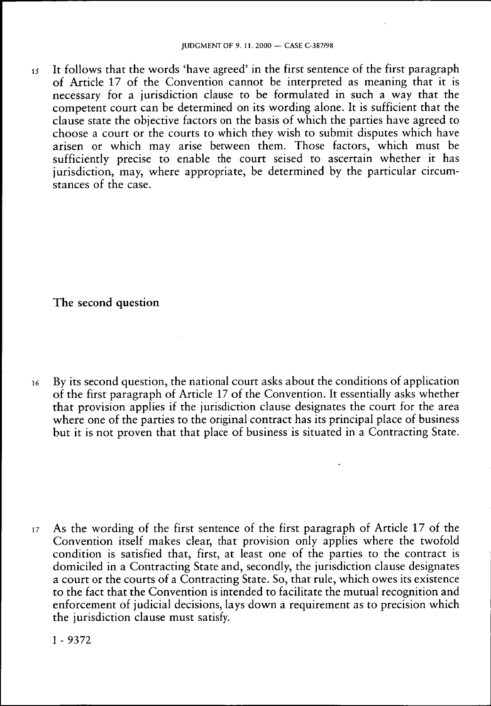$15$  It follows that the words 'have agreed' in the first sentence of the first paragraph of Article 17 of the Convention cannot be interpreted as meaning that it is necessary for a jurisdiction clause to be formulated in such a way that the competent court can be determined on its wording alone. It is sufficient that the clause state the objective factors on the basis of which the parties have agreed to choose a court or the courts to which they wish to submit disputes which have arisen or which may arise between them. Those factors, which must be sufficiently precise to enable the court seised to ascertain whether it has jurisdiction, may, where appropriate, be determined by the particular circumstances of the case.

### The second question

16 By its second question, the national court asks about the conditions of application of the first paragraph of Article 17 of the Convention. It essentially asks whether that provision applies if the jurisdiction clause designates the court for the area where one of the parties to the original contract has its principal place of business but it is not proven that that place of business is situated in a Contracting State.

17 As the wording of the first sentence of the first paragraph of Article 17 of the Convention itself makes clear, that provision only applies where the twofold condition is satisfied that, first, at least one of the parties to the contract is domiciled in a Contracting State and, secondly, the jurisdiction clause designates a court or the courts of a Contracting State. So, that rule, which owes its existence to the fact that the Convention is intended to facilitate the mutual recognition and enforcement of judicial decisions, lays down a requirement as to precision which the jurisdiction clause must satisfy.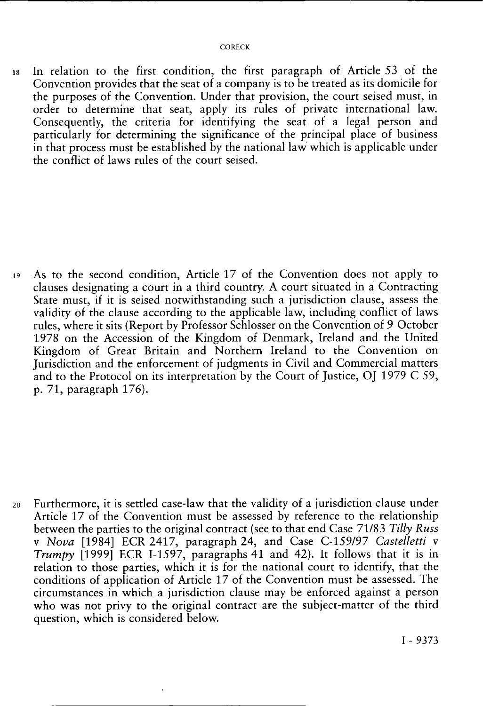18 In relation to the first condition, the first paragraph of Article 53 of the Convention provides that the seat of a company is to be treated as its domicile for the purposes of the Convention. Under that provision, the court seised must, in order to determine that seat, apply its rules of private international law. Consequently, the criteria for identifying the seat of a legal person and particularly for determining the significance of the principal place of business in that process must be established by the national law which is applicable under the conflict of laws rules of the court seised.

19 As to the second condition, Article 17 of the Convention does not apply to clauses designating a court in a third country. A court situated in a Contracting State must, if it is seised notwithstanding such a jurisdiction clause, assess the validity of the clause according to the applicable law, including conflict of laws rules, where it sits (Report by Professor Schlosser on the Convention of 9 October 1978 on the Accession of the Kingdom of Denmark, Ireland and the United Kingdom of Great Britain and Northern Ireland to the Convention on Jurisdiction and the enforcement of judgments in Civil and Commercial matters and to the Protocol on its interpretation by the Court of Justice, OJ 1979 C 59, p. 71, paragraph 176).

20 Furthermore, it is settled case-law that the validity of a jurisdiction clause under Article 17 of the Convention must be assessed by reference to the relationship between the parties to the original contract (see to that end Case 71/83 *Tilly Russ*  v *Nova* [1984] ECR 2417, paragraph 24, and Case C-159/97 *Castelletti* v *Trumpy* [1999] ECR I-1597, paragraphs 41 and 42). It follows that it is in relation to those parties, which it is for the national court to identify, that the conditions of application of Article 17 of the Convention must be assessed. The circumstances in which a jurisdiction clause may be enforced against a person who was not privy to the original contract are the subject-matter of the third question, which is considered below.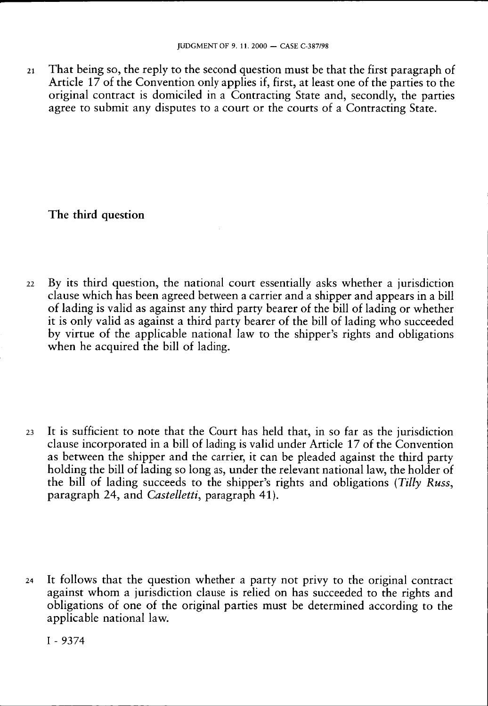21 That being so, the reply to the second question must be that the first paragraph of Article 17 of the Convention only applies if, first, at least one of the parties to the original contract is domiciled in a Contracting State and, secondly, the parties agree to submit any disputes to a court or the courts of a Contracting State.

## **The third question**

22 By its third question, the national court essentially asks whether a jurisdiction clause which has been agreed between a carrier and a shipper and appears in a bill of lading is valid as against any third party bearer of the bill of lading or whether it is only valid as against a third party bearer of the bill of lading who succeeded by virtue of the applicable national law to the shipper's rights and obligations when he acquired the bill of lading.

23 It is sufficient to note that the Court has held that, in so far as the jurisdiction clause incorporated in a bill of lading is valid under Article 17 of the Convention as between the shipper and the carrier, it can be pleaded against the third party holding the bill of lading so long as, under the relevant national law, the holder of the bill of lading succeeds to the shipper's rights and obligations *(Tilly Russ,*  paragraph 24, and *Castelletti,* paragraph 41).

24 It follows that the question whether a party not privy to the original contract against whom a jurisdiction clause is relied on has succeeded to the rights and obligations of one of the original parties must be determined according to the applicable national law.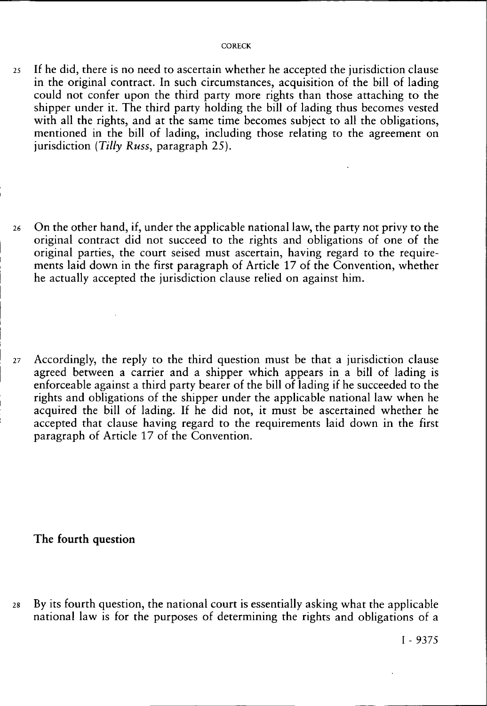- 25 If he did, there is no need to ascertain whether he accepted the jurisdiction clause in the original contract. In such circumstances, acquisition of the bill of lading could not confer upon the third party more rights than those attaching to the shipper under it. The third party holding the bill of lading thus becomes vested with all the rights, and at the same time becomes subject to all the obligations, mentioned in the bill of lading, including those relating to the agreement on jurisdiction *(Tilly Russ,* paragraph 25).
- 26 On the other hand, if, under the applicable national law, the party not privy to the original contract did not succeed to the rights and obligations of one of the original parties, the court seised must ascertain, having regard to the requirements laid down in the first paragraph of Article 17 of the Convention, whether he actually accepted the jurisdiction clause relied on against him.
- 27 Accordingly, the reply to the third question must be that a jurisdiction clause agreed between a carrier and a shipper which appears in a bill of lading is enforceable against a third party bearer of the bill of lading if he succeeded to the rights and obligations of the shipper under the applicable national law when he acquired the bill of lading. If he did not, it must be ascertained whether he accepted that clause having regard to the requirements laid down in the first paragraph of Article 17 of the Convention.

**The fourth question** 

28 By its fourth question, the national court is essentially asking what the applicable national law is for the purposes of determining the rights and obligations of a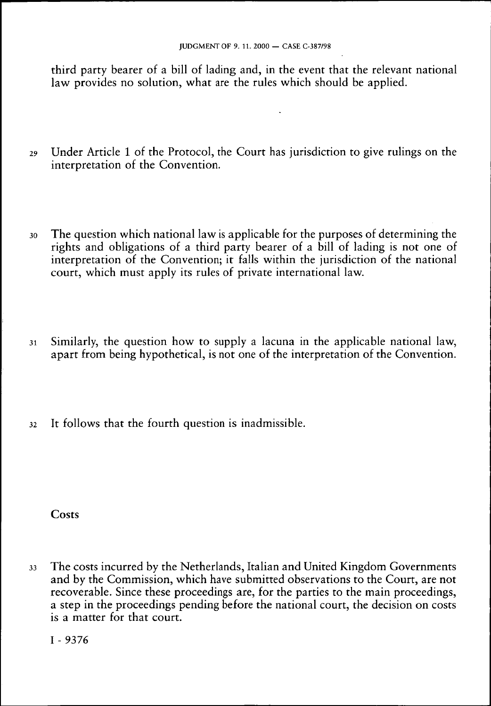third party bearer of a bill of lading and, in the event that the relevant national law provides no solution, what are the rules which should be applied.

- 29 Under Article 1 of the Protocol, the Court has jurisdiction to give rulings on the interpretation of the Convention.
- 30 The question which national law is applicable for the purposes of determining the rights and obligations of a third party bearer of a bill of lading is not one of interpretation of the Convention; it falls within the jurisdiction of the national court, which must apply its rules of private international law.
- 31 Similarly, the question how to supply a lacuna in the applicable national law, apart from being hypothetical, is not one of the interpretation of the Convention.
- 32 It follows that the fourth question is inadmissible.

**Costs** 

33 The costs incurred by the Netherlands, Italian and United Kingdom Governments and by the Commission, which have submitted observations to the Court, are not recoverable. Since these proceedings are, for the parties to the main proceedings, a step in the proceedings pending before the national court, the decision on costs is a matter for that court.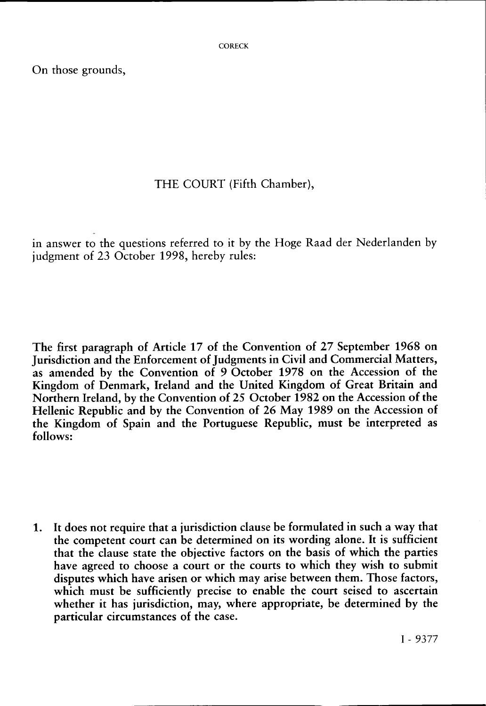On those grounds,

## THE COURT (Fifth Chamber),

in answer to the questions referred to it by the Hoge Raad der Nederlanden by judgment of 23 October 1998, hereby rules:

The first paragraph of Article 17 of the Convention of 27 September 1968 on Jurisdiction and the Enforcement of Judgments in Civil and Commercial Matters, as amended by the Convention of 9 October 1978 on the Accession of the Kingdom of Denmark, Ireland and the United Kingdom of Great Britain and Northern Ireland, by the Convention of 25 October 1982 on the Accession of the Hellenic Republic and by the Convention of 26 May 1989 on the Accession of the Kingdom of Spain and the Portuguese Republic, must be interpreted as follows:

1. It does not require that a jurisdiction clause be formulated in such a way that the competent court can be determined on its wording alone. It is sufficient that the clause state the objective factors on the basis of which the parties have agreed to choose a court or the courts to which they wish to submit disputes which have arisen or which may arise between them. Those factors, which must be sufficiently precise to enable the court seised to ascertain whether it has jurisdiction, may, where appropriate, be determined by the particular circumstances of the case.